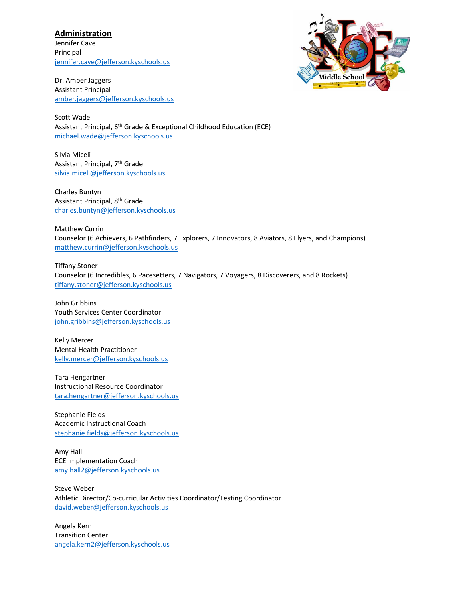## **Administration**

Jennifer Cave Principal [jennifer.cave@jefferson.kyschools.us](mailto:jennifer.cave@jefferson.kyschools.us)

Dr. Amber Jaggers Assistant Principal [amber.jaggers@jefferson.kyschools.us](mailto:amber.jaggers@jefferson.kyschools.us)



Scott Wade Assistant Principal, 6th Grade & Exceptional Childhood Education (ECE) [michael.wade@jefferson.kyschools.us](mailto:michael.wade@jefferson.kyschools.us)

Silvia Miceli Assistant Principal, 7th Grade [silvia.miceli@jefferson.kyschools.us](mailto:silvia.miceli@jefferson.kyschools.us)

Charles Buntyn Assistant Principal, 8th Grade [charles.buntyn@jefferson.kyschools.us](mailto:charles.buntyn@jefferson.kyschools.us)

Matthew Currin Counselor (6 Achievers, 6 Pathfinders, 7 Explorers, 7 Innovators, 8 Aviators, 8 Flyers, and Champions) [matthew.currin@jefferson.kyschools.us](mailto:matthew.currin@jefferson.kyschools.us)

Tiffany Stoner Counselor (6 Incredibles, 6 Pacesetters, 7 Navigators, 7 Voyagers, 8 Discoverers, and 8 Rockets) [tiffany.stoner@jefferson.kyschools.us](mailto:tiffany.stoner@jefferson.kyschools.us)

John Gribbins Youth Services Center Coordinator [john.gribbins@jefferson.kyschools.us](mailto:john.gribbins@jefferson.kyschools.us)

Kelly Mercer Mental Health Practitioner [kelly.mercer@jefferson.kyschools.us](mailto:kelly.mercer@jefferson.kyschools.us)

Tara Hengartner Instructional Resource Coordinator [tara.hengartner@jefferson.kyschools.us](mailto:tara.hengartner@jefferson.kyschools.us)

Stephanie Fields Academic Instructional Coach [stephanie.fields@jefferson.kyschools.us](mailto:stephanie.fields@jefferson.kyschools.us)

Amy Hall ECE Implementation Coach [amy.hall2@jefferson.kyschools.us](mailto:amy.hall2@jefferson.kyschools.us)

Steve Weber Athletic Director/Co-curricular Activities Coordinator/Testing Coordinator [david.weber@jefferson.kyschools.us](mailto:david.weber@jefferson.kyschools.us)

Angela Kern Transition Center [angela.kern2@jefferson.kyschools.us](mailto:angela.kern2@jefferson.kyschools.us)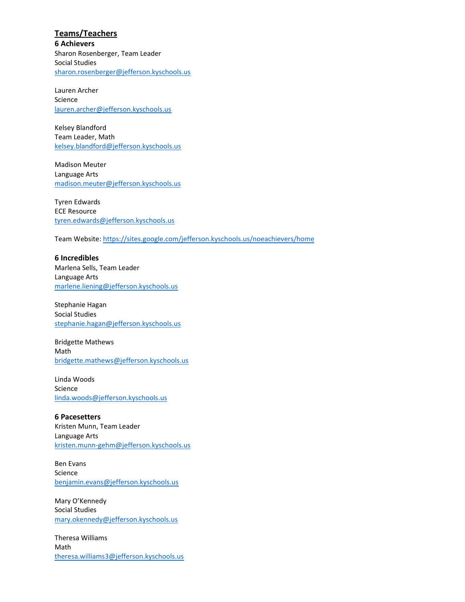**Teams/Teachers 6 Achievers** Sharon Rosenberger, Team Leader Social Studies [sharon.rosenberger@jefferson.kyschools.us](mailto:sharon.rosenberger@jefferson.kyschools.us)

Lauren Archer Science [lauren.archer@jefferson.kyschools.us](mailto:lauren.archer@jefferson.kyschools.us)

Kelsey Blandford Team Leader, Math [kelsey.blandford@jefferson.kyschools.us](mailto:kelsey.blandford@jefferson.kyschools.us)

Madison Meuter Language Arts [madison.meuter@jefferson.kyschools.us](mailto:madison.meuter@jefferson.kyschools.us)

Tyren Edwards ECE Resource [tyren.edwards@jefferson.kyschools.us](mailto:tyren.edwards@jefferson.kyschools.us)

Team Website[: https://sites.google.com/jefferson.kyschools.us/noeachievers/home](https://sites.google.com/jefferson.kyschools.us/noeachievers/home)

**6 Incredibles** Marlena Sells, Team Leader Language Arts [marlene.liening@jefferson.kyschools.us](mailto:marlene.liening@jefferson.kyschools.us)

Stephanie Hagan Social Studies [stephanie.hagan@jefferson.kyschools.us](mailto:stephanie.hagan@jefferson.kyschools.us)

Bridgette Mathews Math [bridgette.mathews@jefferson.kyschools.us](mailto:bridgette.mathews@jefferson.kyschools.us)

Linda Woods Science [linda.woods@jefferson.kyschools.us](mailto:linda.woods@jefferson.kyschools.us)

**6 Pacesetters** Kristen Munn, Team Leader Language Arts [kristen.munn-gehm@jefferson.kyschools.us](mailto:kristen.munn-gehm@jefferson.kyschools.us)

Ben Evans Science [benjamin.evans@jefferson.kyschools.us](mailto:benjamin.evans@jefferson.kyschools.us)

Mary O'Kennedy Social Studies [mary.okennedy@jefferson.kyschools.us](mailto:mary.okennedy@jefferson.kyschools.us)

Theresa Williams Math [theresa.williams3@jefferson.kyschools.us](mailto:theresa.williams3@jefferson.kyschools.us)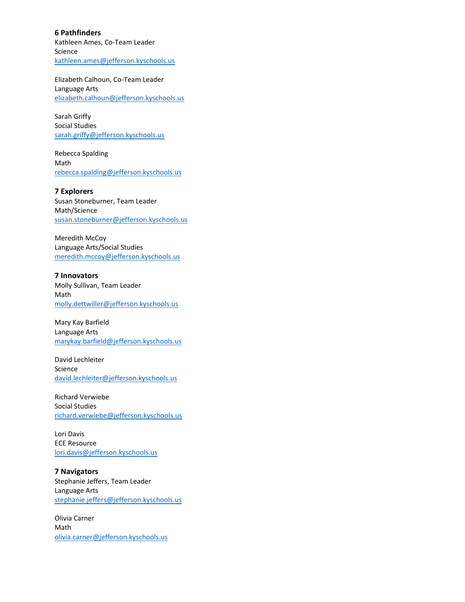**6 Pathfinders** Kathleen Ames, Co-Team Leader Science [kathleen.ames@jefferson.kyschools.us](mailto:kathleen.ames@jefferson.kyschools.us)

Elizabeth Calhoun, Co-Team Leader Language Arts [elizabeth.calhoun@jefferson.kyschools.us](mailto:elizabeth.calhoun@jefferson.kyschools.us)

Sarah Griffy Social Studies [sarah.griffy@jefferson.kyschools.us](mailto:sarah.griffy@jefferson.kyschools.us)

Rebecca Spalding Math [rebecca.spalding@jefferson.kyschools.us](mailto:rebecca.spalding@jefferson.kyschools.us)

**7 Explorers** Susan Stoneburner, Team Leader Math/Science [susan.stoneburner@jefferson.kyschools.us](mailto:susan.stoneburner@jefferson.kyschools.us)

Meredith McCoy Language Arts/Social Studies [meredith.mccoy@jefferson.kyschools.us](mailto:meredith.mccoy@jefferson.kyschools.us)

**7 Innovators** Molly Sullivan, Team Leader Math [molly.dettwiller@jefferson.kyschools.us](mailto:molly.dettwiller@jefferson.kyschools.us)

Mary Kay Barfield Language Arts [marykay.barfield@jefferson.kyschools.us](mailto:marykay.barfield@jefferson.kyschools.us)

David Lechleiter Science [david.lechleiter@jefferson.kyschools.us](mailto:david.lechleiter@jefferson.kyschools.us)

Richard Verwiebe Social Studies [richard.verwiebe@jefferson.kyschools.us](mailto:richard.verwiebe@jefferson.kyschools.us)

Lori Davis ECE Resource [lori.davis@jefferson.kyschools.us](mailto:lori.davis@jefferson.kyschools.us)

**7 Navigators** Stephanie Jeffers, Team Leader Language Arts [stephanie.jeffers@jefferson.kyschools.us](mailto:stephanie.jeffers@jefferson.kyschools.us)

Olivia Carner Math [olivia.carner@jefferson.kyschools.us](mailto:olivia.carner@jefferson.kyschools.us)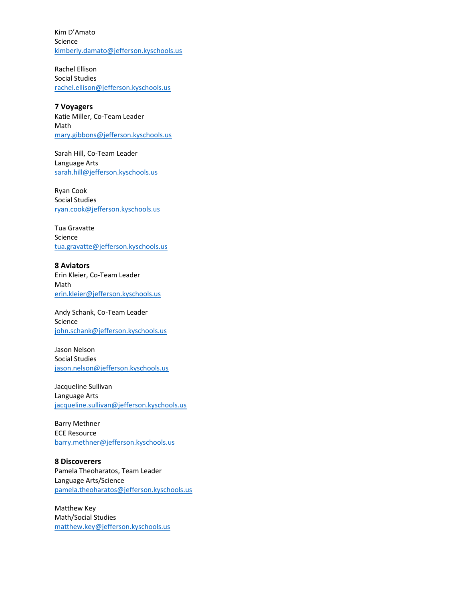Kim D'Amato Science [kimberly.damato@jefferson.kyschools.us](mailto:kimberly.damato@jefferson.kyschools.us)

Rachel Ellison Social Studies [rachel.ellison@jefferson.kyschools.us](mailto:rachel.ellison@jefferson.kyschools.us)

**7 Voyagers** Katie Miller, Co-Team Leader Math [mary.gibbons@jefferson.kyschools.us](mailto:mary.gibbons@jefferson.kyschools.us)

Sarah Hill, Co-Team Leader Language Arts [sarah.hill@jefferson.kyschools.us](mailto:sarah.hill@jefferson.kyschools.us)

Ryan Cook Social Studies [ryan.cook@jefferson.kyschools.us](mailto:ryan.cook@jefferson.kyschools.us)

Tua Gravatte Science [tua.gravatte@jefferson.kyschools.us](mailto:tua.gravatte@jefferson.kyschools.us)

**8 Aviators** Erin Kleier, Co-Team Leader Math [erin.kleier@jefferson.kyschools.us](mailto:erin.kleier@jefferson.kyschools.us)

Andy Schank, Co-Team Leader Science [john.schank@jefferson.kyschools.us](mailto:john.schank@jefferson.kyschools.us)

Jason Nelson Social Studies [jason.nelson@jefferson.kyschools.us](mailto:jason.nelson@jefferson.kyschools.us)

Jacqueline Sullivan Language Arts [jacqueline.sullivan@jefferson.kyschools.us](mailto:jacqueline.sullivan@jefferson.kyschools.us)

Barry Methner ECE Resource [barry.methner@jefferson.kyschools.us](mailto:barry.methner@jefferson.kyschools.us)

**8 Discoverers** Pamela Theoharatos, Team Leader Language Arts/Science [pamela.theoharatos@jefferson.kyschools.us](mailto:pamela.theoharatos@jefferson.kyschools.us)

Matthew Key Math/Social Studies [matthew.key@jefferson.kyschools.us](mailto:matthew.key@jefferson.kyschools.us)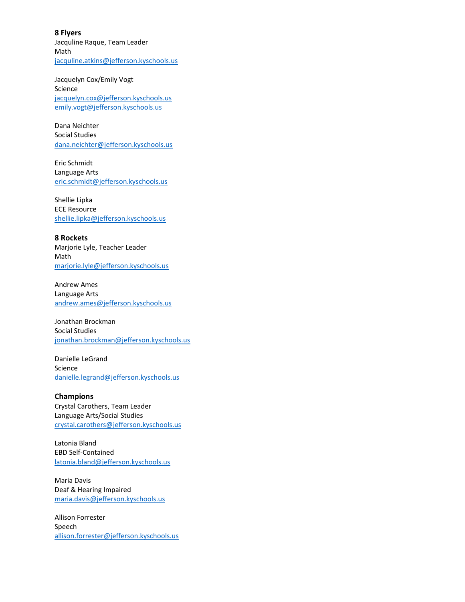**8 Flyers** Jacquline Raque, Team Leader Math [jacquline.atkins@jefferson.kyschools.us](mailto:jacquline.atkins@jefferson.kyschools.us)

Jacquelyn Cox/Emily Vogt Science [jacquelyn.cox@jefferson.kyschools.us](mailto:jacquelyn.cox@jefferson.kyschools.us) [emily.vogt@jefferson.kyschools.us](mailto:emily.vogt@jefferson.kyschools.us)

Dana Neichter Social Studies [dana.neichter@jefferson.kyschools.us](mailto:dana.neichter@jefferson.kyschools.us)

Eric Schmidt Language Arts [eric.schmidt@jefferson.kyschools.us](mailto:eric.schmidt@jefferson.kyschools.us)

Shellie Lipka ECE Resource [shellie.lipka@jefferson.kyschools.us](mailto:shellie.lipka@jefferson.kyschools.us)

**8 Rockets** Marjorie Lyle, Teacher Leader Math [marjorie.lyle@jefferson.kyschools.us](mailto:marjorie.lyle@jefferson.kyschools.us)

Andrew Ames Language Arts [andrew.ames@jefferson.kyschools.us](mailto:andrew.ames@jefferson.kyschools.us)

Jonathan Brockman Social Studies [jonathan.brockman@jefferson.kyschools.us](mailto:jonathan.brockman@jefferson.kyschools.us)

Danielle LeGrand Science [danielle.legrand@jefferson.kyschools.us](mailto:danielle.legrand@jefferson.kyschools.us)

**Champions** Crystal Carothers, Team Leader Language Arts/Social Studies [crystal.carothers@jefferson.kyschools.us](mailto:crystal.carothers@jefferson.kyschools.us)

Latonia Bland EBD Self-Contained [latonia.bland@jefferson.kyschools.us](mailto:latonia.bland@jefferson.kyschools.us)

Maria Davis Deaf & Hearing Impaired [maria.davis@jefferson.kyschools.us](mailto:maria.davis@jefferson.kyschools.us)

Allison Forrester Speech [allison.forrester@jefferson.kyschools.us](mailto:allison.forrester@jefferson.kyschools.us)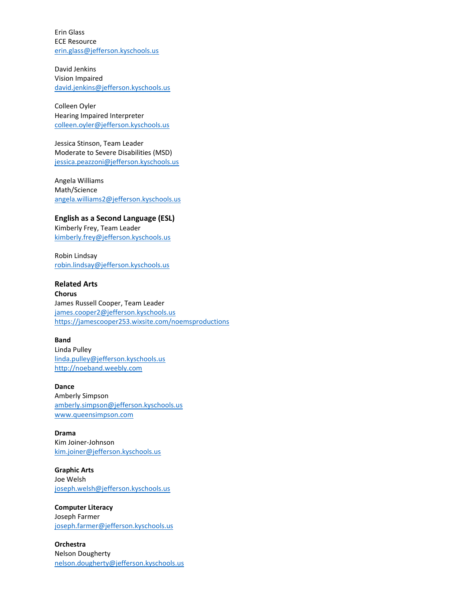Erin Glass ECE Resource [erin.glass@jefferson.kyschools.us](mailto:erin.glass@jefferson.kyschools.us)

David Jenkins Vision Impaired [david.jenkins@jefferson.kyschools.us](mailto:david.jenkins@jefferson.kyschools.us)

Colleen Oyler Hearing Impaired Interpreter [colleen.oyler@jefferson.kyschools.us](mailto:colleen.oyler@jefferson.kyschools.us)

Jessica Stinson, Team Leader Moderate to Severe Disabilities (MSD) [jessica.peazzoni@jefferson.kyschools.us](mailto:jessica.peazzoni@jefferson.kyschools.us)

Angela Williams Math/Science [angela.williams2@jefferson.kyschools.us](mailto:angela.williams2@jefferson.kyschools.us)

**English as a Second Language (ESL)** Kimberly Frey, Team Leader [kimberly.frey@jefferson.kyschools.us](mailto:kimberly.frey@jefferson.kyschools.us)

Robin Lindsay [robin.lindsay@jefferson.kyschools.us](mailto:robin.lindsay@jefferson.kyschools.us)

**Related Arts Chorus** James Russell Cooper, Team Leader [james.cooper2@jefferson.kyschools.us](mailto:james.cooper2@jefferson.kyschools.us) <https://jamescooper253.wixsite.com/noemsproductions>

**Band**

Linda Pulley [linda.pulley@jefferson.kyschools.us](mailto:linda.pulley@jefferson.kyschools.us) [http://noeband.weebly.com](http://noeband.weebly.com/)

**Dance** Amberly Simpson [amberly.simpson@jefferson.kyschools.us](mailto:amberly.simpson@jefferson.kyschools.us) [www.queensimpson.com](http://www.queensimpson.com/)

**Drama** Kim Joiner-Johnson [kim.joiner@jefferson.kyschools.us](mailto:kim.joiner@jefferson.kyschools.us)

**Graphic Arts** Joe Welsh [joseph.welsh@jefferson.kyschools.us](mailto:joseph.welsh@jefferson.kyschools.us)

**Computer Literacy** Joseph Farmer [joseph.farmer@jefferson.kyschools.us](mailto:joseph.farmer@jefferson.kyschools.us)

**Orchestra** Nelson Dougherty [nelson.dougherty@jefferson.kyschools.us](mailto:nelson.dougherty@jefferson.kyschools.us)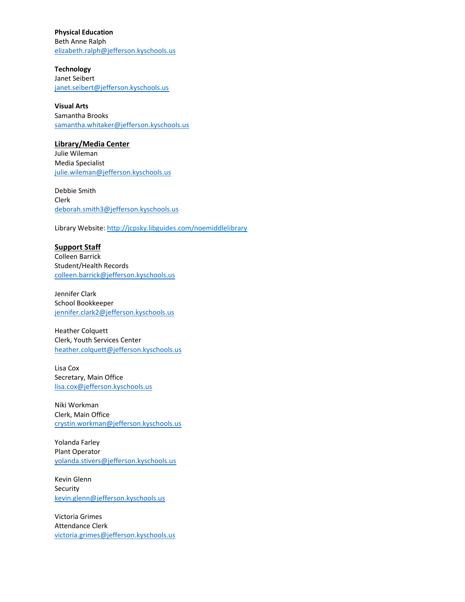**Physical Education** Beth Anne Ralph [elizabeth.ralph@jefferson.kyschools.us](mailto:elizabeth.ralph@jefferson.kyschools.us)

**Technology** Janet Seibert [janet.seibert@jefferson.kyschools.us](mailto:janet.seibert@jefferson.kyschools.us)

**Visual Arts** Samantha Brooks [samantha.whitaker@jefferson.kyschools.us](mailto:samantha.whitaker@jefferson.kyschools.us)

## **Library/Media Center**

Julie Wileman Media Specialist [julie.wileman@jefferson.kyschools.us](mailto:julie.wileman@jefferson.kyschools.us)

Debbie Smith Clerk [deborah.smith3@jefferson.kyschools.us](mailto:deborah.smith3@jefferson.kyschools.us)

Library Website:<http://jcpsky.libguides.com/noemiddlelibrary>

## **Support Staff**

Colleen Barrick Student/Health Records [colleen.barrick@jefferson.kyschools.us](mailto:colleen.barrick@jefferson.kyschools.us)

Jennifer Clark School Bookkeeper [jennifer.clark2@jefferson.kyschools.us](mailto:jennifer.clark2@jefferson.kyschools.us)

Heather Colquett Clerk, Youth Services Center [heather.colquett@jefferson.kyschools.us](mailto:heather.colquett@jefferson.kyschools.us)

Lisa Cox Secretary, Main Office [lisa.cox@jefferson.kyschools.us](mailto:lisa.cox@jefferson.kyschools.us)

Niki Workman Clerk, Main Office [crystin.workman@jefferson.kyschools.us](mailto:crystin.workman@jefferson.kyschools.us)

Yolanda Farley Plant Operator [yolanda.stivers@jefferson.kyschools.us](mailto:yolanda.stivers@jefferson.kyschools.us)

Kevin Glenn Security [kevin.glenn@jefferson.kyschools.us](mailto:kevin.glenn@jefferson.kyschools.us)

Victoria Grimes Attendance Clerk [victoria.grimes@jefferson.kyschools.us](mailto:victoria.grimes@jefferson.kyschools.us)